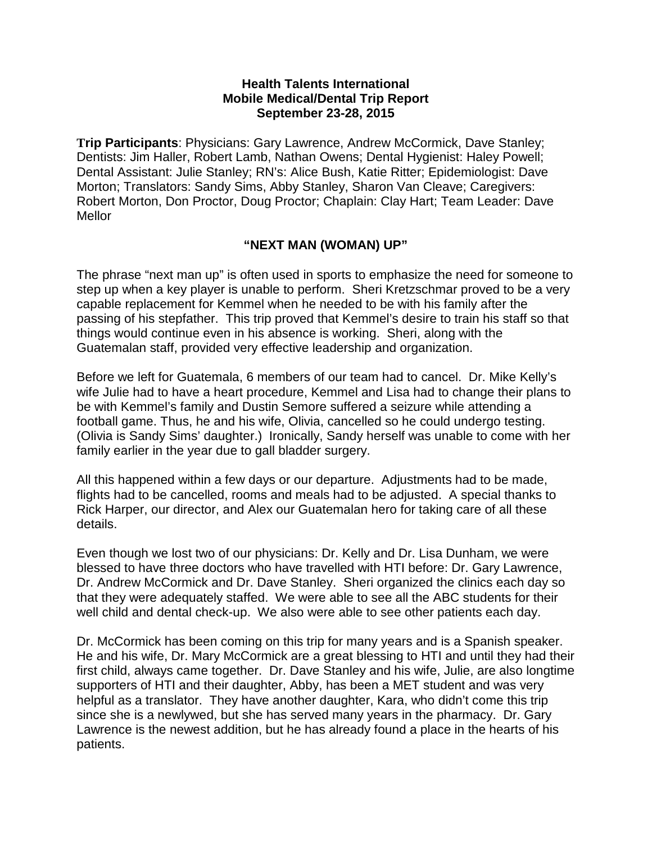## **Health Talents International Mobile Medical/Dental Trip Report September 23-28, 2015**

**Trip Participants**: Physicians: Gary Lawrence, Andrew McCormick, Dave Stanley; Dentists: Jim Haller, Robert Lamb, Nathan Owens; Dental Hygienist: Haley Powell; Dental Assistant: Julie Stanley; RN's: Alice Bush, Katie Ritter; Epidemiologist: Dave Morton; Translators: Sandy Sims, Abby Stanley, Sharon Van Cleave; Caregivers: Robert Morton, Don Proctor, Doug Proctor; Chaplain: Clay Hart; Team Leader: Dave Mellor

## **"NEXT MAN (WOMAN) UP"**

The phrase "next man up" is often used in sports to emphasize the need for someone to step up when a key player is unable to perform. Sheri Kretzschmar proved to be a very capable replacement for Kemmel when he needed to be with his family after the passing of his stepfather. This trip proved that Kemmel's desire to train his staff so that things would continue even in his absence is working. Sheri, along with the Guatemalan staff, provided very effective leadership and organization.

Before we left for Guatemala, 6 members of our team had to cancel. Dr. Mike Kelly's wife Julie had to have a heart procedure, Kemmel and Lisa had to change their plans to be with Kemmel's family and Dustin Semore suffered a seizure while attending a football game. Thus, he and his wife, Olivia, cancelled so he could undergo testing. (Olivia is Sandy Sims' daughter.) Ironically, Sandy herself was unable to come with her family earlier in the year due to gall bladder surgery.

All this happened within a few days or our departure. Adjustments had to be made, flights had to be cancelled, rooms and meals had to be adjusted. A special thanks to Rick Harper, our director, and Alex our Guatemalan hero for taking care of all these details.

Even though we lost two of our physicians: Dr. Kelly and Dr. Lisa Dunham, we were blessed to have three doctors who have travelled with HTI before: Dr. Gary Lawrence, Dr. Andrew McCormick and Dr. Dave Stanley. Sheri organized the clinics each day so that they were adequately staffed. We were able to see all the ABC students for their well child and dental check-up. We also were able to see other patients each day.

Dr. McCormick has been coming on this trip for many years and is a Spanish speaker. He and his wife, Dr. Mary McCormick are a great blessing to HTI and until they had their first child, always came together. Dr. Dave Stanley and his wife, Julie, are also longtime supporters of HTI and their daughter, Abby, has been a MET student and was very helpful as a translator. They have another daughter, Kara, who didn't come this trip since she is a newlywed, but she has served many years in the pharmacy. Dr. Gary Lawrence is the newest addition, but he has already found a place in the hearts of his patients.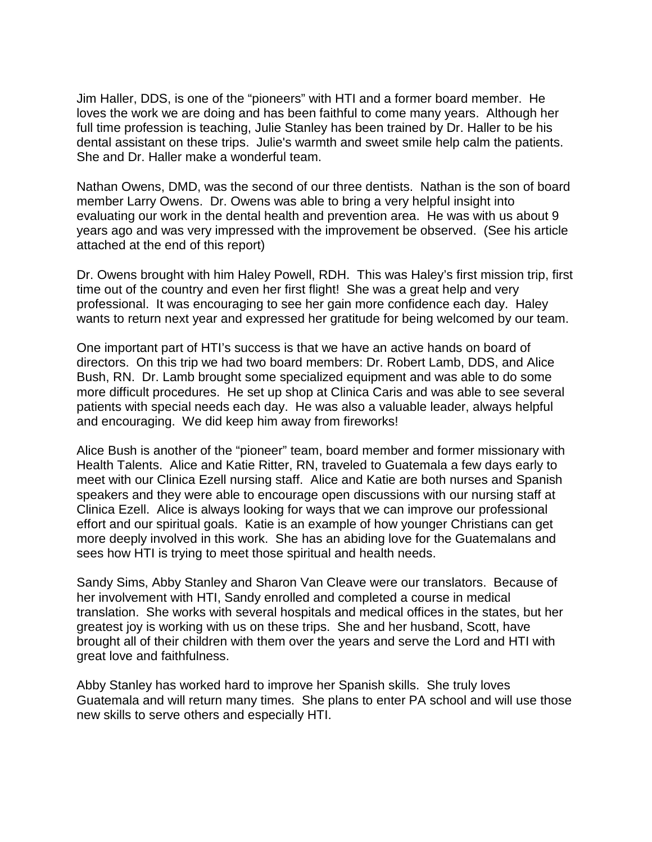Jim Haller, DDS, is one of the "pioneers" with HTI and a former board member. He loves the work we are doing and has been faithful to come many years. Although her full time profession is teaching, Julie Stanley has been trained by Dr. Haller to be his dental assistant on these trips. Julie's warmth and sweet smile help calm the patients. She and Dr. Haller make a wonderful team.

Nathan Owens, DMD, was the second of our three dentists. Nathan is the son of board member Larry Owens. Dr. Owens was able to bring a very helpful insight into evaluating our work in the dental health and prevention area. He was with us about 9 years ago and was very impressed with the improvement be observed. (See his article attached at the end of this report)

Dr. Owens brought with him Haley Powell, RDH. This was Haley's first mission trip, first time out of the country and even her first flight! She was a great help and very professional. It was encouraging to see her gain more confidence each day. Haley wants to return next year and expressed her gratitude for being welcomed by our team.

One important part of HTI's success is that we have an active hands on board of directors. On this trip we had two board members: Dr. Robert Lamb, DDS, and Alice Bush, RN. Dr. Lamb brought some specialized equipment and was able to do some more difficult procedures. He set up shop at Clinica Caris and was able to see several patients with special needs each day. He was also a valuable leader, always helpful and encouraging. We did keep him away from fireworks!

Alice Bush is another of the "pioneer" team, board member and former missionary with Health Talents. Alice and Katie Ritter, RN, traveled to Guatemala a few days early to meet with our Clinica Ezell nursing staff. Alice and Katie are both nurses and Spanish speakers and they were able to encourage open discussions with our nursing staff at Clinica Ezell. Alice is always looking for ways that we can improve our professional effort and our spiritual goals. Katie is an example of how younger Christians can get more deeply involved in this work. She has an abiding love for the Guatemalans and sees how HTI is trying to meet those spiritual and health needs.

Sandy Sims, Abby Stanley and Sharon Van Cleave were our translators. Because of her involvement with HTI, Sandy enrolled and completed a course in medical translation. She works with several hospitals and medical offices in the states, but her greatest joy is working with us on these trips. She and her husband, Scott, have brought all of their children with them over the years and serve the Lord and HTI with great love and faithfulness.

Abby Stanley has worked hard to improve her Spanish skills. She truly loves Guatemala and will return many times. She plans to enter PA school and will use those new skills to serve others and especially HTI.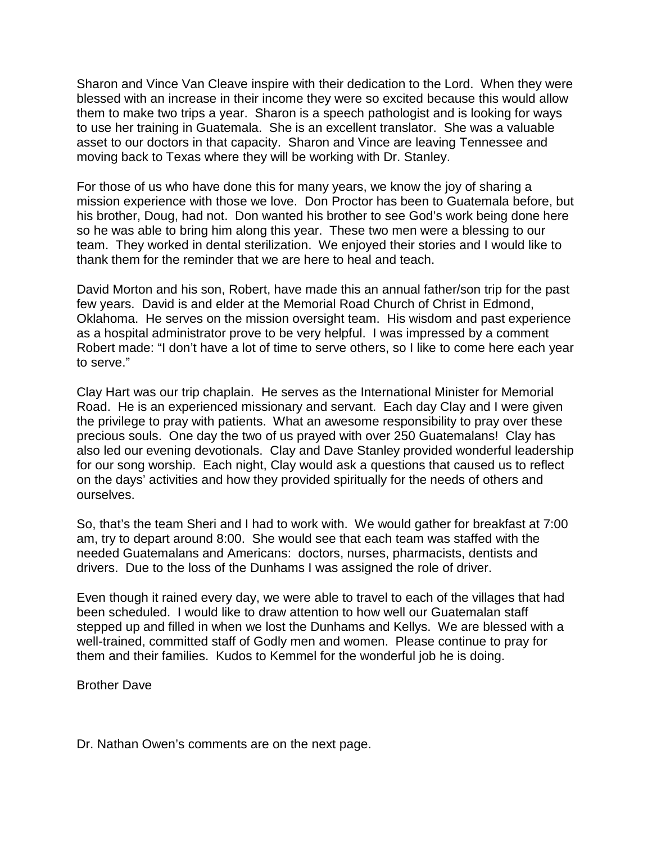Sharon and Vince Van Cleave inspire with their dedication to the Lord. When they were blessed with an increase in their income they were so excited because this would allow them to make two trips a year. Sharon is a speech pathologist and is looking for ways to use her training in Guatemala. She is an excellent translator. She was a valuable asset to our doctors in that capacity. Sharon and Vince are leaving Tennessee and moving back to Texas where they will be working with Dr. Stanley.

For those of us who have done this for many years, we know the joy of sharing a mission experience with those we love. Don Proctor has been to Guatemala before, but his brother, Doug, had not. Don wanted his brother to see God's work being done here so he was able to bring him along this year. These two men were a blessing to our team. They worked in dental sterilization. We enjoyed their stories and I would like to thank them for the reminder that we are here to heal and teach.

David Morton and his son, Robert, have made this an annual father/son trip for the past few years. David is and elder at the Memorial Road Church of Christ in Edmond, Oklahoma. He serves on the mission oversight team. His wisdom and past experience as a hospital administrator prove to be very helpful. I was impressed by a comment Robert made: "I don't have a lot of time to serve others, so I like to come here each year to serve."

Clay Hart was our trip chaplain. He serves as the International Minister for Memorial Road. He is an experienced missionary and servant. Each day Clay and I were given the privilege to pray with patients. What an awesome responsibility to pray over these precious souls. One day the two of us prayed with over 250 Guatemalans! Clay has also led our evening devotionals. Clay and Dave Stanley provided wonderful leadership for our song worship. Each night, Clay would ask a questions that caused us to reflect on the days' activities and how they provided spiritually for the needs of others and ourselves.

So, that's the team Sheri and I had to work with. We would gather for breakfast at 7:00 am, try to depart around 8:00. She would see that each team was staffed with the needed Guatemalans and Americans: doctors, nurses, pharmacists, dentists and drivers. Due to the loss of the Dunhams I was assigned the role of driver.

Even though it rained every day, we were able to travel to each of the villages that had been scheduled. I would like to draw attention to how well our Guatemalan staff stepped up and filled in when we lost the Dunhams and Kellys. We are blessed with a well-trained, committed staff of Godly men and women. Please continue to pray for them and their families. Kudos to Kemmel for the wonderful job he is doing.

Brother Dave

Dr. Nathan Owen's comments are on the next page.